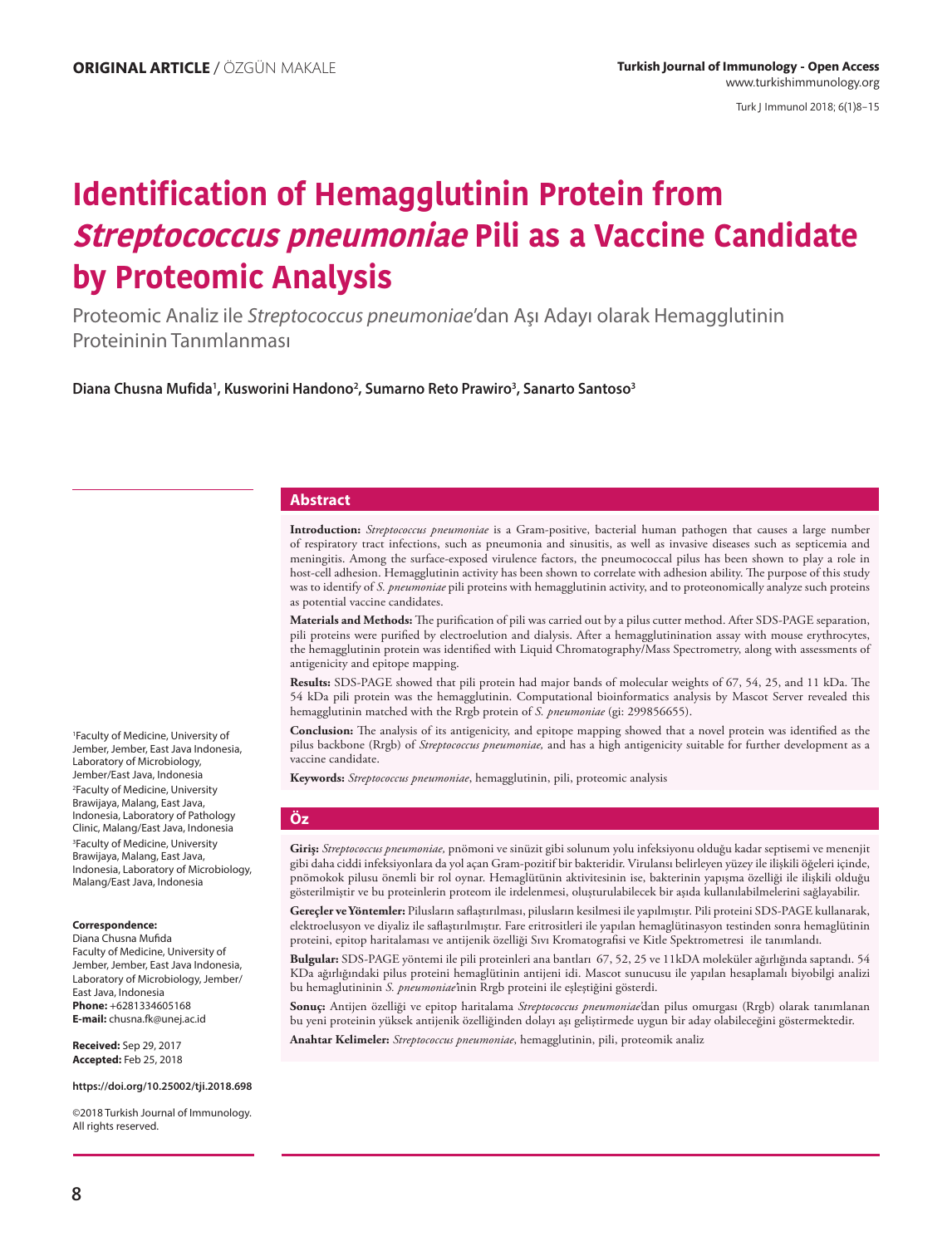Turk J Immunol 2018; 6(1)8−15

# **Identification of Hemagglutinin Protein from Streptococcus pneumoniae Pili as a Vaccine Candidate by Proteomic Analysis**

Proteomic Analiz ile *Streptococcus pneumoniae*'dan Aşı Adayı olarak Hemagglutinin Proteininin Tanımlanması

**Diana Chusna Mufida1 , Kusworini Handono2 , Sumarno Reto Prawiro3 , Sanarto Santoso3**

#### **Abstract**

**Introduction:** *Streptococcus pneumoniae* is a Gram-positive, bacterial human pathogen that causes a large number of respiratory tract infections, such as pneumonia and sinusitis, as well as invasive diseases such as septicemia and meningitis. Among the surface-exposed virulence factors, the pneumococcal pilus has been shown to play a role in host-cell adhesion. Hemagglutinin activity has been shown to correlate with adhesion ability. The purpose of this study was to identify of *S. pneumoniae* pili proteins with hemagglutinin activity, and to proteonomically analyze such proteins as potential vaccine candidates.

**Materials and Methods:** The purification of pili was carried out by a pilus cutter method. After SDS-PAGE separation, pili proteins were purified by electroelution and dialysis. After a hemagglutinination assay with mouse erythrocytes, the hemagglutinin protein was identified with Liquid Chromatography/Mass Spectrometry, along with assessments of antigenicity and epitope mapping.

**Results:** SDS-PAGE showed that pili protein had major bands of molecular weights of 67, 54, 25, and 11 kDa. The 54 kDa pili protein was the hemagglutinin. Computational bioinformatics analysis by Mascot Server revealed this hemagglutinin matched with the Rrgb protein of *S. pneumoniae* (gi: 299856655).

**Conclusion:** The analysis of its antigenicity, and epitope mapping showed that a novel protein was identified as the pilus backbone (Rrgb) of *Streptococcus pneumoniae,* and has a high antigenicity suitable for further development as a vaccine candidate.

**Keywords:** *Streptococcus pneumoniae*, hemagglutinin, pili, proteomic analysis

#### **Öz**

**Giriş:** *Streptococcus pneumoniae,* pnömoni ve sinüzit gibi solunum yolu infeksiyonu olduğu kadar septisemi ve menenjit gibi daha ciddi infeksiyonlara da yol açan Gram-pozitif bir bakteridir. Virulansı belirleyen yüzey ile ilişkili öğeleri içinde, pnömokok pilusu önemli bir rol oynar. Hemaglütünin aktivitesinin ise, bakterinin yapışma özelliği ile ilişkili olduğu gösterilmiştir ve bu proteinlerin proteom ile irdelenmesi, oluşturulabilecek bir aşıda kullanılabilmelerini sağlayabilir.

**Gereçler ve Yöntemler:** Pilusların saflaştırılması, pilusların kesilmesi ile yapılmıştır. Pili proteini SDS-PAGE kullanarak, elektroelusyon ve diyaliz ile saflaştırılmıştır. Fare eritrositleri ile yapılan hemaglütinasyon testinden sonra hemaglütinin proteini, epitop haritalaması ve antijenik özelliği Sıvı Kromatografisi ve Kitle Spektrometresi ile tanımlandı.

**Bulgular:** SDS-PAGE yöntemi ile pili proteinleri ana bantları 67, 52, 25 ve 11kDA moleküler ağırlığında saptandı. 54 KDa ağırlığındaki pilus proteini hemaglütinin antijeni idi. Mascot sunucusu ile yapılan hesaplamalı biyobilgi analizi bu hemaglutininin *S. pneumoniae'*inin Rrgb proteini ile eşleştiğini gösterdi.

**Sonuç:** Antijen özelliği ve epitop haritalama *Streptococcus pneumoniae'*dan pilus omurgası (Rrgb) olarak tanımlanan bu yeni proteinin yüksek antijenik özelliğinden dolayı aşı geliştirmede uygun bir aday olabileceğini göstermektedir.

**Anahtar Kelimeler:** *Streptococcus pneumoniae*, hemagglutinin, pili, proteomik analiz

1 Faculty of Medicine, University of Jember, Jember, East Java Indonesia, Laboratory of Microbiology, Jember/East Java, Indonesia 2 Faculty of Medicine, University Brawijaya, Malang, East Java, Indonesia, Laboratory of Pathology Clinic, Malang/East Java, Indonesia 3 Faculty of Medicine, University Brawijaya, Malang, East Java, Indonesia, Laboratory of Microbiology, Malang/East Java, Indonesia

#### **Correspondence:**

Diana Chusna Mufida Faculty of Medicine, University of Jember, Jember, East Java Indonesia, Laboratory of Microbiology, Jember/ East Java, Indonesia **Phone:** +6281334605168 **E-mail:** chusna.fk@unej.ac.id

**Received:** Sep 29, 2017 **Accepted:** Feb 25, 2018

**https://doi.org/10.25002/tji.2018.698**

©2018 Turkish Journal of Immunology. All rights reserved.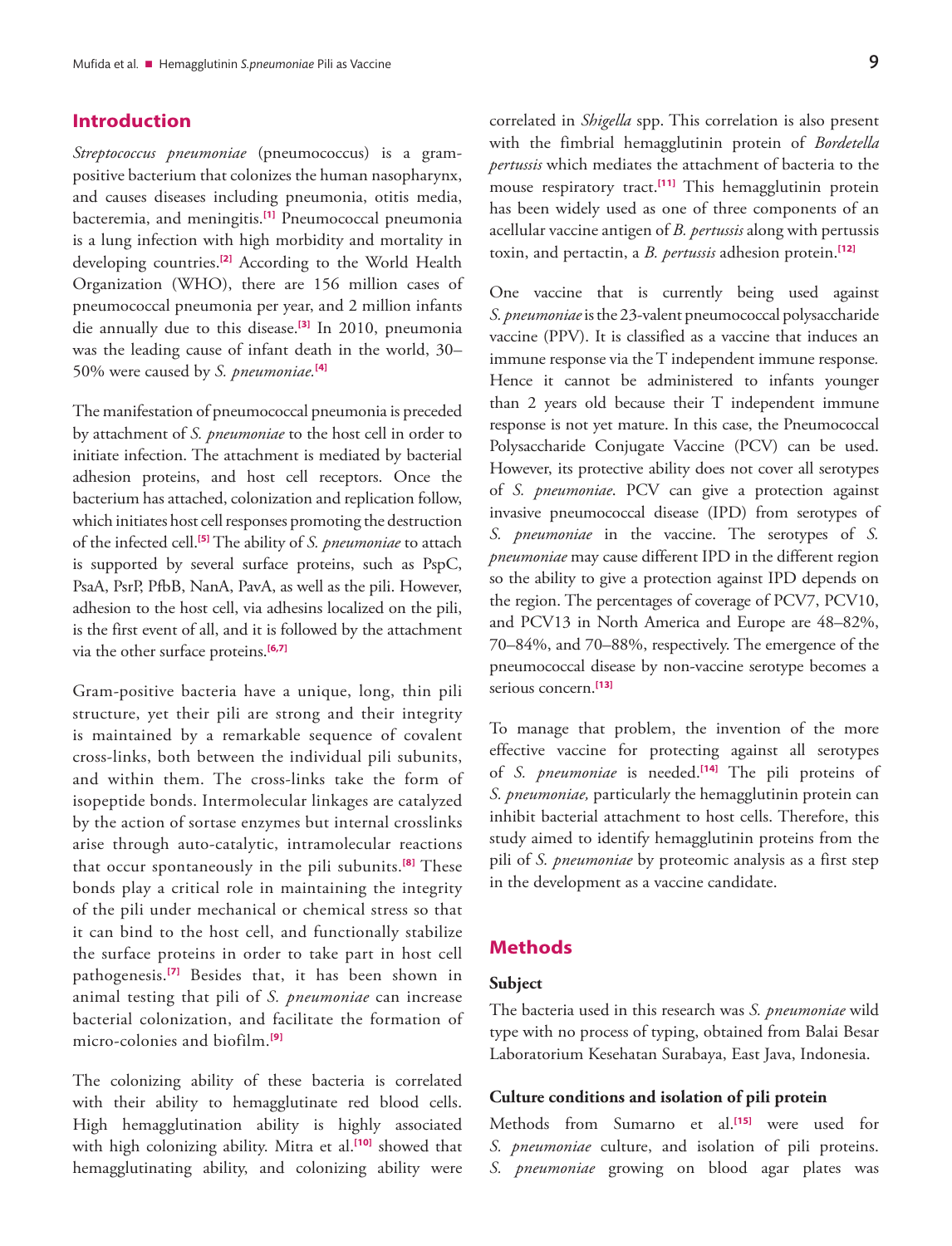# **Introduction**

*Streptococcus pneumoniae* (pneumococcus) is a grampositive bacterium that colonizes the human nasopharynx, and causes diseases including pneumonia, otitis media, bacteremia, and meningitis.**[\[1\]](#page-6-0)** Pneumococcal pneumonia is a lung infection with high morbidity and mortality in developing countries.**[\[2\]](#page-6-0)** According to the World Health Organization (WHO), there are 156 million cases of pneumococcal pneumonia per year, and 2 million infants die annually due to this disease.**[\[3\]](#page-6-0)** In 2010, pneumonia was the leading cause of infant death in the world, 30– 50% were caused by *S. pneumoniae.***[\[4\]](#page-6-0)**

The manifestation of pneumococcal pneumonia is preceded by attachment of *S. pneumoniae* to the host cell in order to initiate infection. The attachment is mediated by bacterial adhesion proteins, and host cell receptors. Once the bacterium has attached, colonization and replication follow, which initiates host cell responses promoting the destruction of the infected cell.**[\[5\]](#page-7-0)** The ability of *S. pneumoniae* to attach is supported by several surface proteins, such as PspC, PsaA, PsrP, PfbB, NanA, PavA, as well as the pili. However, adhesion to the host cell, via adhesins localized on the pili, is the first event of all, and it is followed by the attachment via the other surface proteins.**[\[6,7\]](#page-7-0)**

Gram-positive bacteria have a unique, long, thin pili structure, yet their pili are strong and their integrity is maintained by a remarkable sequence of covalent cross-links, both between the individual pili subunits, and within them. The cross-links take the form of isopeptide bonds. Intermolecular linkages are catalyzed by the action of sortase enzymes but internal crosslinks arise through auto-catalytic, intramolecular reactions that occur spontaneously in the pili subunits.**[\[8\]](#page-7-0)** These bonds play a critical role in maintaining the integrity of the pili under mechanical or chemical stress so that it can bind to the host cell, and functionally stabilize the surface proteins in order to take part in host cell pathogenesis.**[\[7\]](#page-7-0)** Besides that, it has been shown in animal testing that pili of *S. pneumoniae* can increase bacterial colonization, and facilitate the formation of micro-colonies and biofilm.**[\[9\]](#page-7-0)**

The colonizing ability of these bacteria is correlated with their ability to hemagglutinate red blood cells. High hemagglutination ability is highly associated with high colonizing ability. Mitra et al.**[\[10\]](#page-7-0)** showed that hemagglutinating ability, and colonizing ability were

correlated in *Shigella* spp. This correlation is also present with the fimbrial hemagglutinin protein of *Bordetella pertussis* which mediates the attachment of bacteria to the mouse respiratory tract.**[\[11\]](#page-7-0)** This hemagglutinin protein has been widely used as one of three components of an acellular vaccine antigen of *B. pertussis* along with pertussis toxin, and pertactin, a *B. pertussis* adhesion protein.**[\[12\]](#page-7-0)**

One vaccine that is currently being used against *S. pneumoniae* is the 23-valent pneumococcal polysaccharide vaccine (PPV). It is classified as a vaccine that induces an immune response via the T independent immune response*.*  Hence it cannot be administered to infants younger than 2 years old because their T independent immune response is not yet mature. In this case, the Pneumococcal Polysaccharide Conjugate Vaccine (PCV) can be used. However, its protective ability does not cover all serotypes of *S. pneumoniae*. PCV can give a protection against invasive pneumococcal disease (IPD) from serotypes of *S. pneumoniae* in the vaccine. The serotypes of *S. pneumoniae* may cause different IPD in the different region so the ability to give a protection against IPD depends on the region. The percentages of coverage of PCV7, PCV10, and PCV13 in North America and Europe are 48–82%, 70–84%, and 70–88%, respectively. The emergence of the pneumococcal disease by non-vaccine serotype becomes a serious concern.**[\[13\]](#page-7-0)**

To manage that problem, the invention of the more effective vaccine for protecting against all serotypes of *S. pneumoniae* is needed.**[\[14\]](#page-7-0)** The pili proteins of *S. pneumoniae,* particularly the hemagglutinin protein can inhibit bacterial attachment to host cells. Therefore, this study aimed to identify hemagglutinin proteins from the pili of *S. pneumoniae* by proteomic analysis as a first step in the development as a vaccine candidate.

# **Methods**

# **Subject**

The bacteria used in this research was *S. pneumoniae* wild type with no process of typing, obtained from Balai Besar Laboratorium Kesehatan Surabaya, East Java, Indonesia.

# **Culture conditions and isolation of pili protein**

Methods from Sumarno et al.**[\[15\]](#page-7-0)** were used for *S. pneumoniae* culture, and isolation of pili proteins. *S. pneumoniae* growing on blood agar plates was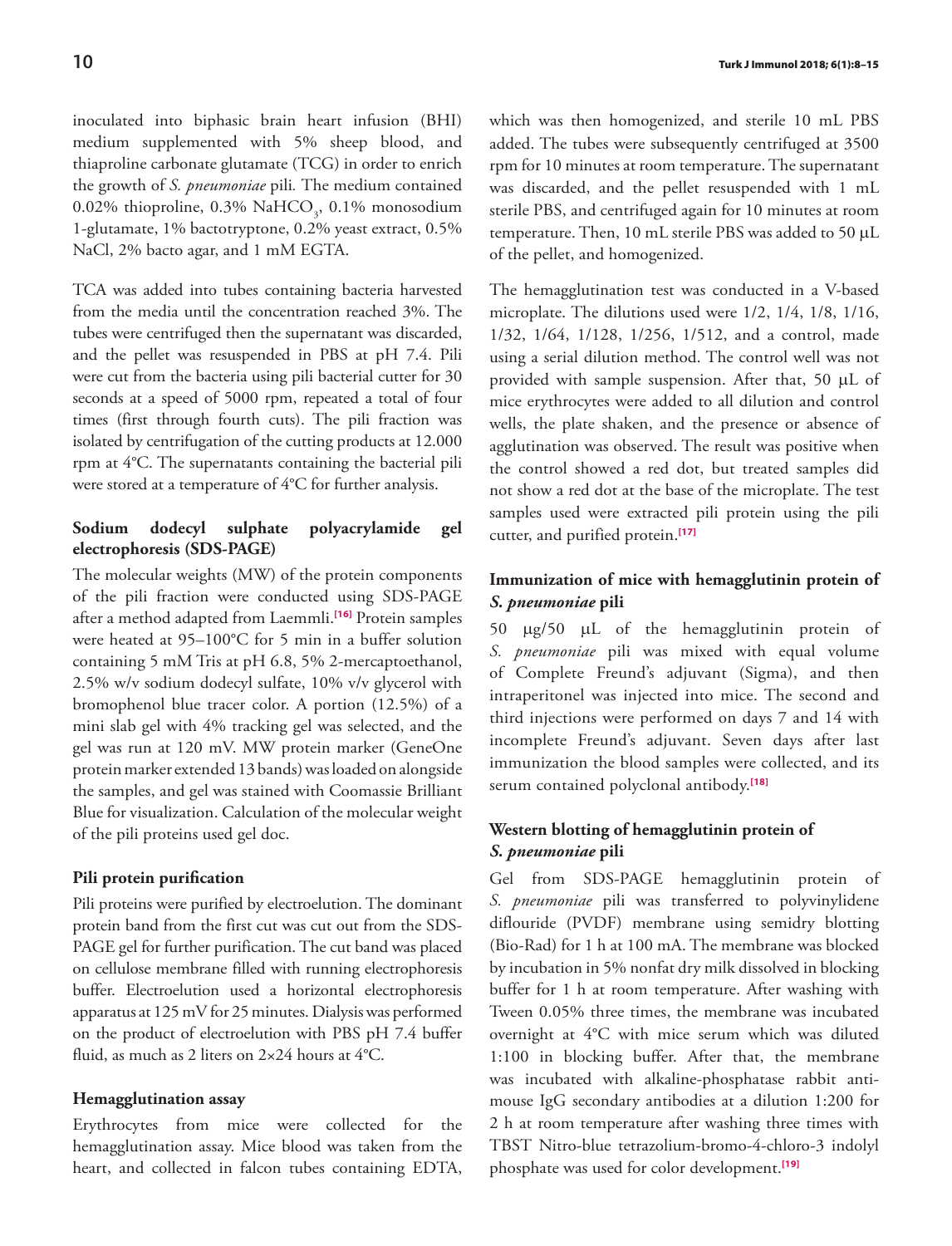inoculated into biphasic brain heart infusion (BHI) medium supplemented with 5% sheep blood, and thiaproline carbonate glutamate (TCG) in order to enrich the growth of *S. pneumoniae* pili*.* The medium contained  $0.02\%$  thioproline,  $0.3\%$  NaHCO<sub>3</sub>,  $0.1\%$  monosodium 1-glutamate, 1% bactotryptone, 0.2% yeast extract, 0.5% NaCl, 2% bacto agar, and 1 mM EGTA.

TCA was added into tubes containing bacteria harvested from the media until the concentration reached 3%. The tubes were centrifuged then the supernatant was discarded, and the pellet was resuspended in PBS at pH 7.4. Pili were cut from the bacteria using pili bacterial cutter for 30 seconds at a speed of 5000 rpm, repeated a total of four times (first through fourth cuts). The pili fraction was isolated by centrifugation of the cutting products at 12.000 rpm at 4°C. The supernatants containing the bacterial pili were stored at a temperature of 4°C for further analysis.

# **Sodium dodecyl sulphate polyacrylamide gel electrophoresis (SDS-PAGE)**

The molecular weights (MW) of the protein components of the pili fraction were conducted using SDS-PAGE after a method adapted from Laemmli.**[\[16\]](#page-7-0)** Protein samples were heated at 95–100°C for 5 min in a buffer solution containing 5 mM Tris at pH 6.8, 5% 2-mercaptoethanol, 2.5% w/v sodium dodecyl sulfate, 10% v/v glycerol with bromophenol blue tracer color. A portion (12.5%) of a mini slab gel with 4% tracking gel was selected, and the gel was run at 120 mV. MW protein marker (GeneOne protein marker extended 13 bands) was loaded on alongside the samples, and gel was stained with Coomassie Brilliant Blue for visualization. Calculation of the molecular weight of the pili proteins used gel doc.

### **Pili protein purification**

Pili proteins were purified by electroelution. The dominant protein band from the first cut was cut out from the SDS-PAGE gel for further purification. The cut band was placed on cellulose membrane filled with running electrophoresis buffer. Electroelution used a horizontal electrophoresis apparatus at 125 mV for 25 minutes. Dialysis was performed on the product of electroelution with PBS pH 7.4 buffer fluid, as much as 2 liters on 2×24 hours at 4°C.

# **Hemagglutination assay**

Erythrocytes from mice were collected for the hemagglutination assay. Mice blood was taken from the heart, and collected in falcon tubes containing EDTA,

which was then homogenized, and sterile 10 mL PBS added. The tubes were subsequently centrifuged at 3500 rpm for 10 minutes at room temperature. The supernatant was discarded, and the pellet resuspended with 1 mL sterile PBS, and centrifuged again for 10 minutes at room temperature. Then, 10 mL sterile PBS was added to 50 μL of the pellet, and homogenized.

The hemagglutination test was conducted in a V-based microplate. The dilutions used were 1/2, 1/4, 1/8, 1/16, 1/32, 1/64, 1/128, 1/256, 1/512, and a control, made using a serial dilution method. The control well was not provided with sample suspension. After that, 50 μL of mice erythrocytes were added to all dilution and control wells, the plate shaken, and the presence or absence of agglutination was observed. The result was positive when the control showed a red dot, but treated samples did not show a red dot at the base of the microplate. The test samples used were extracted pili protein using the pili cutter, and purified protein.**[\[17\]](#page-7-0)**

# **Immunization of mice with hemagglutinin protein of**  *S. pneumoniae* **pili**

50 μg/50 μL of the hemagglutinin protein of *S. pneumoniae* pili was mixed with equal volume of Complete Freund's adjuvant (Sigma), and then intraperitonel was injected into mice. The second and third injections were performed on days 7 and 14 with incomplete Freund's adjuvant. Seven days after last immunization the blood samples were collected, and its serum contained polyclonal antibody.**[\[18\]](#page-7-0)**

# **Western blotting of hemagglutinin protein of**  *S. pneumoniae* **pili**

Gel from SDS-PAGE hemagglutinin protein of *S. pneumoniae* pili was transferred to polyvinylidene diflouride (PVDF) membrane using semidry blotting (Bio-Rad) for 1 h at 100 mA. The membrane was blocked by incubation in 5% nonfat dry milk dissolved in blocking buffer for 1 h at room temperature. After washing with Tween 0.05% three times, the membrane was incubated overnight at 4°C with mice serum which was diluted 1:100 in blocking buffer. After that, the membrane was incubated with alkaline-phosphatase rabbit antimouse IgG secondary antibodies at a dilution 1:200 for 2 h at room temperature after washing three times with TBST Nitro-blue tetrazolium-bromo-4-chloro-3 indolyl phosphate was used for color development.**[\[19\]](#page-7-0)**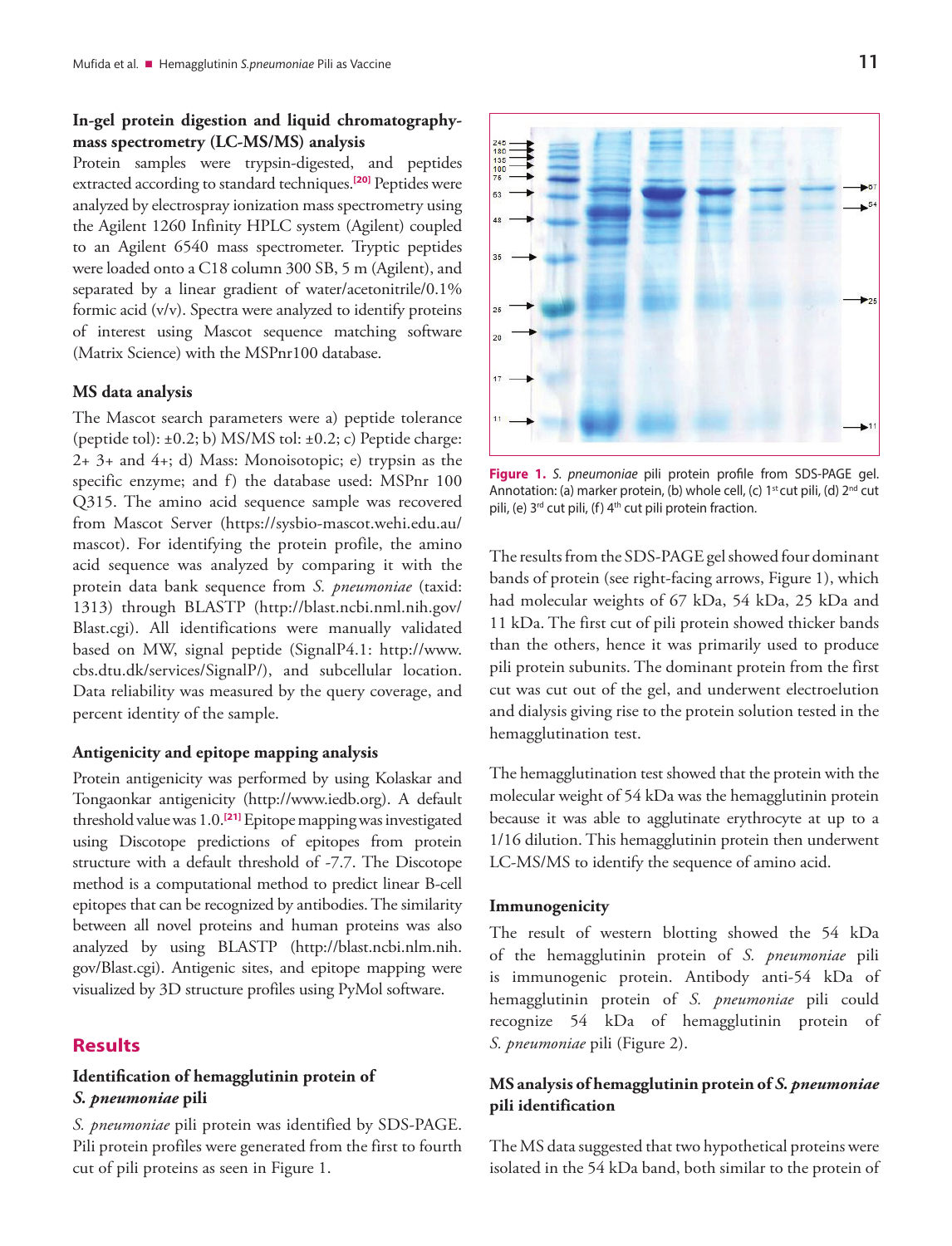# **In-gel protein digestion and liquid chromatographymass spectrometry (LC-MS/MS) analysis**

Protein samples were trypsin-digested, and peptides extracted according to standard techniques.**[\[20\]](#page-7-0)** Peptides were analyzed by electrospray ionization mass spectrometry using the Agilent 1260 Infinity HPLC system (Agilent) coupled to an Agilent 6540 mass spectrometer. Tryptic peptides were loaded onto a C18 column 300 SB, 5 m (Agilent), and separated by a linear gradient of water/acetonitrile/0.1% formic acid (v/v). Spectra were analyzed to identify proteins of interest using Mascot sequence matching software (Matrix Science) with the MSPnr100 database.

#### **MS data analysis**

The Mascot search parameters were a) peptide tolerance (peptide tol):  $\pm 0.2$ ; b) MS/MS tol:  $\pm 0.2$ ; c) Peptide charge: 2+ 3+ and 4+; d) Mass: Monoisotopic; e) trypsin as the specific enzyme; and f) the database used: MSPnr 100 Q315. The amino acid sequence sample was recovered from Mascot Server (https://sysbio-mascot.wehi.edu.au/ mascot). For identifying the protein profile, the amino acid sequence was analyzed by comparing it with the protein data bank sequence from *S. pneumoniae* (taxid: 1313) through BLASTP (http://blast.ncbi.nml.nih.gov/ Blast.cgi). All identifications were manually validated based on MW, signal peptide (SignalP4.1: http://www. cbs.dtu.dk/services/SignalP/), and subcellular location. Data reliability was measured by the query coverage, and percent identity of the sample.

#### **Antigenicity and epitope mapping analysis**

Protein antigenicity was performed by using Kolaskar and Tongaonkar antigenicity (http://www.iedb.org). A default threshold value was 1.0.**[\[21\]](#page-7-0)** Epitope mapping was investigated using Discotope predictions of epitopes from protein structure with a default threshold of -7.7. The Discotope method is a computational method to predict linear B-cell epitopes that can be recognized by antibodies. The similarity between all novel proteins and human proteins was also analyzed by using BLASTP (http://blast.ncbi.nlm.nih. gov/Blast.cgi). Antigenic sites, and epitope mapping were visualized by 3D structure profiles using PyMol software.

## **Results**

# **Identification of hemagglutinin protein of** *S. pneumoniae* **pili**

*S. pneumoniae* pili protein was identified by SDS-PAGE. Pili protein profiles were generated from the first to fourth cut of pili proteins as seen in Figure 1.



**Figure 1.** *S. pneumoniae* pili protein profile from SDS-PAGE gel. Annotation: (a) marker protein, (b) whole cell, (c) 1<sup>st</sup> cut pili, (d) 2<sup>nd</sup> cut pili, (e) 3<sup>rd</sup> cut pili, (f) 4<sup>th</sup> cut pili protein fraction.

The results from the SDS-PAGE gel showed four dominant bands of protein (see right-facing arrows, Figure 1), which had molecular weights of 67 kDa, 54 kDa, 25 kDa and 11 kDa. The first cut of pili protein showed thicker bands than the others, hence it was primarily used to produce pili protein subunits. The dominant protein from the first cut was cut out of the gel, and underwent electroelution and dialysis giving rise to the protein solution tested in the hemagglutination test.

The hemagglutination test showed that the protein with the molecular weight of 54 kDa was the hemagglutinin protein because it was able to agglutinate erythrocyte at up to a 1/16 dilution. This hemagglutinin protein then underwent LC-MS/MS to identify the sequence of amino acid.

#### **Immunogenicity**

The result of western blotting showed the 54 kDa of the hemagglutinin protein of *S. pneumoniae* pili is immunogenic protein. Antibody anti-54 kDa of hemagglutinin protein of *S. pneumoniae* pili could recognize 54 kDa of hemagglutinin protein of *S. pneumoniae* pili (Figure 2).

# **MS analysis of hemagglutinin protein of** *S. pneumoniae* **pili identification**

The MS data suggested that two hypothetical proteins were isolated in the 54 kDa band, both similar to the protein of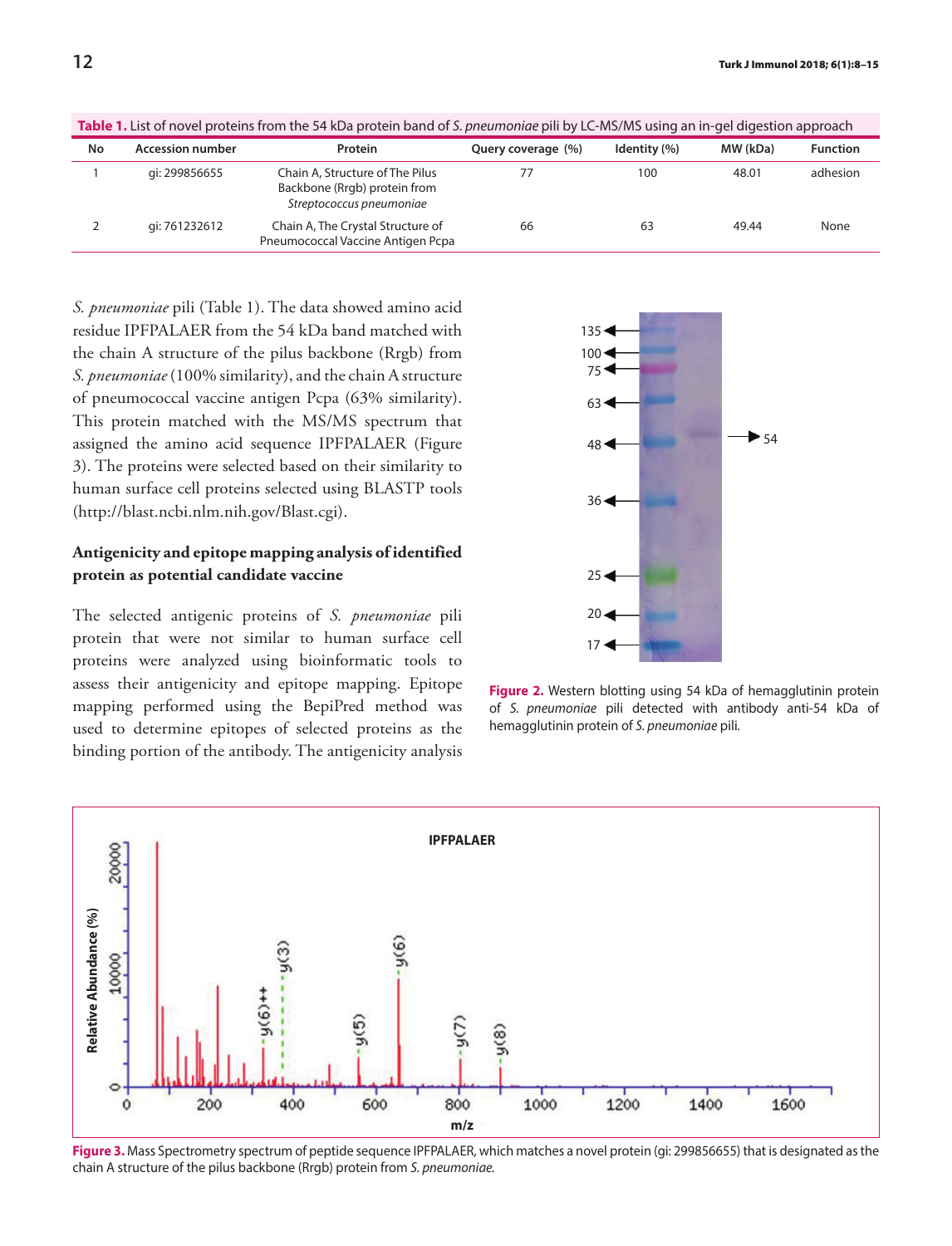| <b>Table 1.</b> List of hotel proteins from the 54 KDa protein band of 3. pheamoniae pin by LC-MS/MS dsing an in-geralgestion approach |                         |                                                                                             |                    |              |          |                 |
|----------------------------------------------------------------------------------------------------------------------------------------|-------------------------|---------------------------------------------------------------------------------------------|--------------------|--------------|----------|-----------------|
| No                                                                                                                                     | <b>Accession number</b> | Protein                                                                                     | Query coverage (%) | Identity (%) | MW (kDa) | <b>Function</b> |
|                                                                                                                                        | qi: 299856655           | Chain A, Structure of The Pilus<br>Backbone (Rrgb) protein from<br>Streptococcus pneumoniae | 77                 | 100          | 48.01    | adhesion        |
|                                                                                                                                        | qi: 761232612           | Chain A, The Crystal Structure of<br>Pneumococcal Vaccine Antigen Pcpa                      | 66                 | 63           | 49.44    | None            |

**Table 1.** List of novel proteins from the 54 kDa protein band of *S. pneumoniae* pili by LC-MS/MS using an in-gel digestion approach

*S. pneumoniae* pili (Table 1). The data showed amino acid residue IPFPALAER from the 54 kDa band matched with the chain A structure of the pilus backbone (Rrgb) from *S. pneumoniae* (100% similarity), and the chain A structure of pneumococcal vaccine antigen Pcpa (63% similarity). This protein matched with the MS/MS spectrum that assigned the amino acid sequence IPFPALAER (Figure 3). The proteins were selected based on their similarity to human surface cell proteins selected using BLASTP tools (http://blast.ncbi.nlm.nih.gov/Blast.cgi).

# **Antigenicity and epitope mapping analysis of identified protein as potential candidate vaccine**

The selected antigenic proteins of *S. pneumoniae* pili protein that were not similar to human surface cell proteins were analyzed using bioinformatic tools to assess their antigenicity and epitope mapping. Epitope mapping performed using the BepiPred method was used to determine epitopes of selected proteins as the binding portion of the antibody. The antigenicity analysis



**Figure 2.** Western blotting using 54 kDa of hemagglutinin protein of *S. pneumoniae* pili detected with antibody anti-54 kDa of hemagglutinin protein of *S. pneumoniae* pili*.*



**Figure 3.** Mass Spectrometry spectrum of peptide sequence IPFPALAER, which matches a novel protein (gi: 299856655) that is designated as the chain A structure of the pilus backbone (Rrgb) protein from *S. pneumoniae.*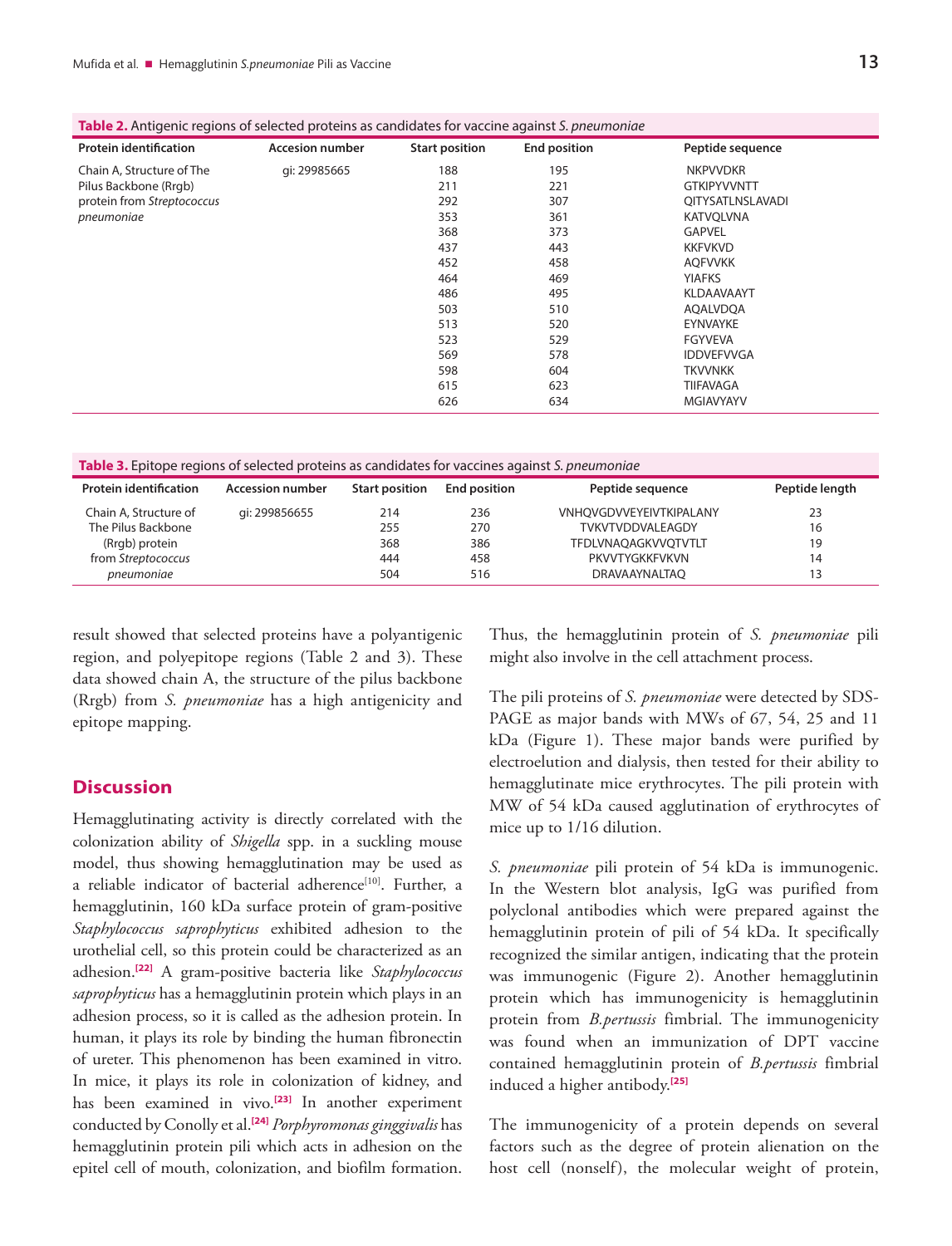| <b>Protein identification</b> | <b>Accesion number</b> | <b>Start position</b> | <b>End position</b> | Peptide sequence   |  |
|-------------------------------|------------------------|-----------------------|---------------------|--------------------|--|
| Chain A, Structure of The     | gi: 29985665           | 188                   | 195                 | <b>NKPVVDKR</b>    |  |
| Pilus Backbone (Rrgb)         |                        | 211                   | 221                 | <b>GTKIPYVVNTT</b> |  |
| protein from Streptococcus    |                        | 292                   | 307                 | QITYSATLNSLAVADI   |  |
| pneumoniae                    |                        | 353                   | 361                 | <b>KATVQLVNA</b>   |  |
|                               |                        | 368                   | 373                 | <b>GAPVEL</b>      |  |
|                               |                        | 437                   | 443                 | <b>KKFVKVD</b>     |  |
|                               |                        | 452                   | 458                 | <b>AOFVVKK</b>     |  |
|                               |                        | 464                   | 469                 | <b>YIAFKS</b>      |  |
|                               |                        | 486                   | 495                 | <b>KLDAAVAAYT</b>  |  |
|                               |                        | 503                   | 510                 | AQALVDQA           |  |
|                               |                        | 513                   | 520                 | EYNVAYKE           |  |
|                               |                        | 523                   | 529                 | <b>FGYVEVA</b>     |  |
|                               |                        | 569                   | 578                 | <b>IDDVEFVVGA</b>  |  |
|                               |                        | 598                   | 604                 | <b>TKVVNKK</b>     |  |
|                               |                        | 615                   | 623                 | TIIFAVAGA          |  |
|                               |                        | 626                   | 634                 | <b>MGIAVYAYV</b>   |  |

| <b>Table 2.</b> Antigenic regions of selected proteins as candidates for vaccine against S. pneumoniae |  |  |  |  |
|--------------------------------------------------------------------------------------------------------|--|--|--|--|
|--------------------------------------------------------------------------------------------------------|--|--|--|--|

| Table 3. Epitope regions of selected proteins as candidates for vaccines against S. pneumoniae |                         |                       |                     |                                |                |  |
|------------------------------------------------------------------------------------------------|-------------------------|-----------------------|---------------------|--------------------------------|----------------|--|
| <b>Protein identification</b>                                                                  | <b>Accession number</b> | <b>Start position</b> | <b>End position</b> | Peptide sequence               | Peptide length |  |
| Chain A, Structure of                                                                          | qi: 299856655           | 214                   | 236                 | <b>VNHOVGDVVEYEIVTKIPALANY</b> | 23             |  |
| The Pilus Backbone                                                                             |                         | 255                   | 270                 | TVKVTVDDVALEAGDY               | 16             |  |
| (Rrgb) protein                                                                                 |                         | 368                   | 386                 | TFDLVNAQAGKVVQTVTLT            | 19             |  |
| from Streptococcus                                                                             |                         | 444                   | 458                 | PKVVTYGKKFVKVN                 | 14             |  |
| pneumoniae                                                                                     |                         | 504                   | 516                 | <b>DRAVAAYNALTAO</b>           | 13             |  |

result showed that selected proteins have a polyantigenic region, and polyepitope regions (Table 2 and 3). These data showed chain A, the structure of the pilus backbone (Rrgb) from *S. pneumoniae* has a high antigenicity and epitope mapping.

### **Discussion**

Hemagglutinating activity is directly correlated with the colonization ability of *Shigella* spp. in a suckling mouse model, thus showing hemagglutination may be used as a reliable indicator of bacterial adherence<sup>[10]</sup>. Further, a hemagglutinin, 160 kDa surface protein of gram-positive *Staphylococcus saprophyticus* exhibited adhesion to the urothelial cell, so this protein could be characterized as an adhesion.**[\[22\]](#page-7-0)** A gram-positive bacteria like *Staphylococcus saprophyticus* has a hemagglutinin protein which plays in an adhesion process, so it is called as the adhesion protein. In human, it plays its role by binding the human fibronectin of ureter. This phenomenon has been examined in vitro. In mice, it plays its role in colonization of kidney, and has been examined in vivo.**[\[23\]](#page-7-0)** In another experiment conducted by Conolly et al.**[\[24\]](#page-7-0)** *Porphyromonas ginggivalis* has hemagglutinin protein pili which acts in adhesion on the epitel cell of mouth, colonization, and biofilm formation.

Thus, the hemagglutinin protein of *S. pneumoniae* pili might also involve in the cell attachment process.

The pili proteins of *S. pneumoniae* were detected by SDS-PAGE as major bands with MWs of 67, 54, 25 and 11 kDa (Figure 1). These major bands were purified by electroelution and dialysis, then tested for their ability to hemagglutinate mice erythrocytes. The pili protein with MW of 54 kDa caused agglutination of erythrocytes of mice up to 1/16 dilution.

*S. pneumoniae* pili protein of 54 kDa is immunogenic. In the Western blot analysis, IgG was purified from polyclonal antibodies which were prepared against the hemagglutinin protein of pili of 54 kDa. It specifically recognized the similar antigen, indicating that the protein was immunogenic (Figure 2). Another hemagglutinin protein which has immunogenicity is hemagglutinin protein from *B.pertussis* fimbrial. The immunogenicity was found when an immunization of DPT vaccine contained hemagglutinin protein of *B.pertussis* fimbrial induced a higher antibody.**[\[25\]](#page-7-0)**

The immunogenicity of a protein depends on several factors such as the degree of protein alienation on the host cell (nonself), the molecular weight of protein,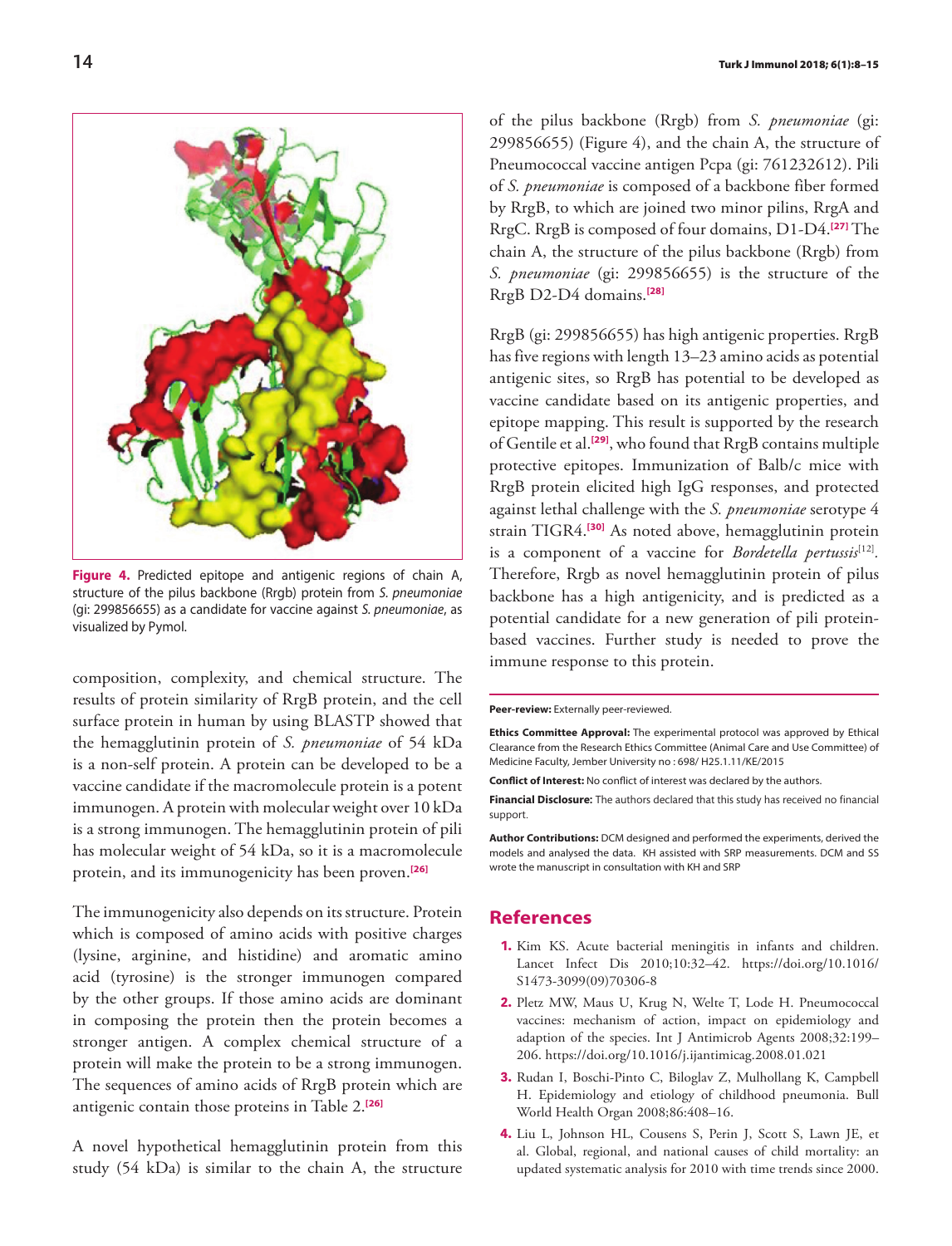<span id="page-6-0"></span>

**Figure 4.** Predicted epitope and antigenic regions of chain A, structure of the pilus backbone (Rrgb) protein from *S. pneumoniae* (gi: 299856655) as a candidate for vaccine against *S. pneumoniae*, as visualized by Pymol.

composition, complexity, and chemical structure. The results of protein similarity of RrgB protein, and the cell surface protein in human by using BLASTP showed that the hemagglutinin protein of *S. pneumoniae* of 54 kDa is a non-self protein. A protein can be developed to be a vaccine candidate if the macromolecule protein is a potent immunogen. A protein with molecular weight over 10 kDa is a strong immunogen. The hemagglutinin protein of pili has molecular weight of 54 kDa, so it is a macromolecule protein, and its immunogenicity has been proven.**[\[26\]](#page-7-0)**

The immunogenicity also depends on its structure. Protein which is composed of amino acids with positive charges (lysine, arginine, and histidine) and aromatic amino acid (tyrosine) is the stronger immunogen compared by the other groups. If those amino acids are dominant in composing the protein then the protein becomes a stronger antigen. A complex chemical structure of a protein will make the protein to be a strong immunogen. The sequences of amino acids of RrgB protein which are antigenic contain those proteins in Table 2.**[\[26\]](#page-7-0)**

A novel hypothetical hemagglutinin protein from this study (54 kDa) is similar to the chain A, the structure

of the pilus backbone (Rrgb) from *S. pneumoniae* (gi: 299856655) (Figure 4), and the chain A, the structure of Pneumococcal vaccine antigen Pcpa (gi: 761232612). Pili of *S. pneumoniae* is composed of a backbone fiber formed by RrgB, to which are joined two minor pilins, RrgA and RrgC. RrgB is composed of four domains, D1-D4.**[\[27\]](#page-7-0)** The chain A, the structure of the pilus backbone (Rrgb) from *S. pneumoniae* (gi: 299856655) is the structure of the RrgB D2-D4 domains.**[\[28\]](#page-7-0)**

RrgB (gi: 299856655) has high antigenic properties. RrgB has five regions with length 13–23 amino acids as potential antigenic sites, so RrgB has potential to be developed as vaccine candidate based on its antigenic properties, and epitope mapping. This result is supported by the research of Gentile et al.**[\[29\]](#page-7-0)**, who found that RrgB contains multiple protective epitopes. Immunization of Balb/c mice with RrgB protein elicited high IgG responses, and protected against lethal challenge with the *S. pneumoniae* serotype 4 strain TIGR4.**[\[30\]](#page-7-0)** As noted above, hemagglutinin protein is a component of a vaccine for *Bordetella pertussis*<sup>[12]</sup>. Therefore, Rrgb as novel hemagglutinin protein of pilus backbone has a high antigenicity, and is predicted as a potential candidate for a new generation of pili proteinbased vaccines. Further study is needed to prove the immune response to this protein.

**Peer-review:** Externally peer-reviewed.

**Ethics Committee Approval:** The experimental protocol was approved by Ethical Clearance from the Research Ethics Committee (Animal Care and Use Committee) of Medicine Faculty, Jember University no : 698/ H25.1.11/KE/2015

**Conflict of Interest:** No conflict of interest was declared by the authors.

**Financial Disclosure:** The authors declared that this study has received no financial support.

**Author Contributions:** DCM designed and performed the experiments, derived the models and analysed the data. KH assisted with SRP measurements. DCM and SS wrote the manuscript in consultation with KH and SRP

#### **References**

- **1.** Kim KS. Acute bacterial meningitis in infants and children. Lancet Infect Dis 2010;10:32–42. https://doi.org/10.1016/ S1473-3099(09)70306-8
- **2.** Pletz MW, Maus U, Krug N, Welte T, Lode H. Pneumococcal vaccines: mechanism of action, impact on epidemiology and adaption of the species. Int J Antimicrob Agents 2008;32:199– 206. https://doi.org/10.1016/j.ijantimicag.2008.01.021
- **3.** Rudan I, Boschi-Pinto C, Biloglav Z, Mulhollang K, Campbell H. Epidemiology and etiology of childhood pneumonia. Bull World Health Organ 2008;86:408–16.
- **4.** Liu L, Johnson HL, Cousens S, Perin J, Scott S, Lawn JE, et al. Global, regional, and national causes of child mortality: an updated systematic analysis for 2010 with time trends since 2000.